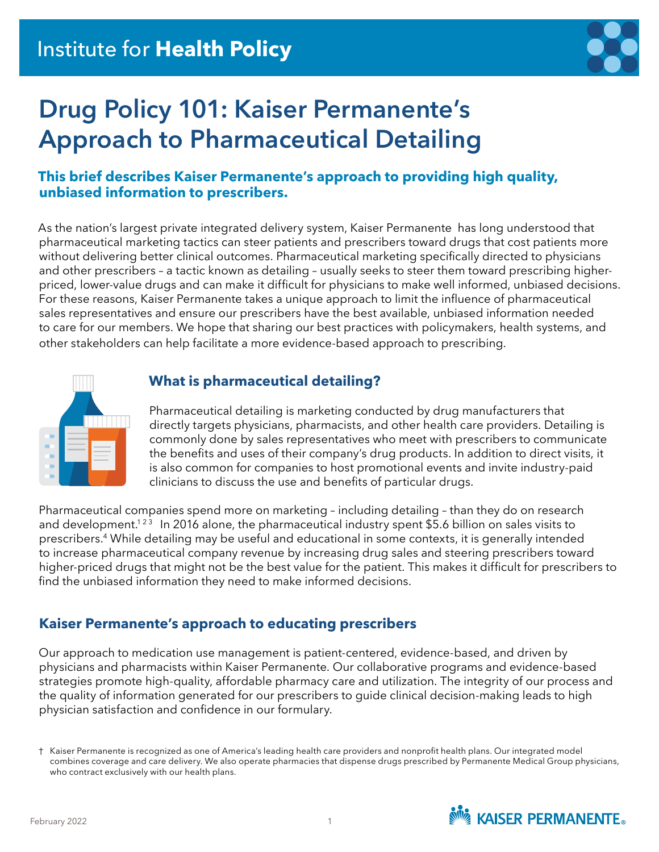

# **Drug Policy 101: Kaiser Permanente's Approach to Pharmaceutical Detailing**

### **This brief describes Kaiser Permanente's approach to providing high quality, unbiased information to prescribers.**

As the nation's largest private integrated delivery system, Kaiser Permanente has long understood that pharmaceutical marketing tactics can steer patients and prescribers toward drugs that cost patients more without delivering better clinical outcomes. Pharmaceutical marketing specifically directed to physicians and other prescribers – a tactic known as detailing – usually seeks to steer them toward prescribing higherpriced, lower-value drugs and can make it difficult for physicians to make well informed, unbiased decisions. For these reasons, Kaiser Permanente takes a unique approach to limit the influence of pharmaceutical sales representatives and ensure our prescribers have the best available, unbiased information needed to care for our members. We hope that sharing our best practices with policymakers, health systems, and other stakeholders can help facilitate a more evidence-based approach to prescribing.



### **What is pharmaceutical detailing?**

Pharmaceutical detailing is marketing conducted by drug manufacturers that directly targets physicians, pharmacists, and other health care providers. Detailing is commonly done by sales representatives who meet with prescribers to communicate the benefits and uses of their company's drug products. In addition to direct visits, it is also common for companies to host promotional events and invite industry-paid clinicians to discuss the use and benefits of particular drugs.

Pharmaceutical companies spend more on marketing – including detailing – than they do on research and development.<sup>123</sup> In 2016 alone, the pharmaceutical industry spent \$5.6 billion on sales visits to prescribers.4 While detailing may be useful and educational in some contexts, it is generally intended to increase pharmaceutical company revenue by increasing drug sales and steering prescribers toward higher-priced drugs that might not be the best value for the patient. This makes it difficult for prescribers to find the unbiased information they need to make informed decisions.

## **Kaiser Permanente's approach to educating prescribers**

Our approach to medication use management is patient-centered, evidence-based, and driven by physicians and pharmacists within Kaiser Permanente. Our collaborative programs and evidence-based strategies promote high-quality, affordable pharmacy care and utilization. The integrity of our process and the quality of information generated for our prescribers to guide clinical decision-making leads to high physician satisfaction and confidence in our formulary.

<sup>†</sup> Kaiser Permanente is recognized as one of America's leading health care providers and nonprofit health plans. Our integrated model combines coverage and care delivery. We also operate pharmacies that dispense drugs prescribed by Permanente Medical Group physicians, who contract exclusively with our health plans.

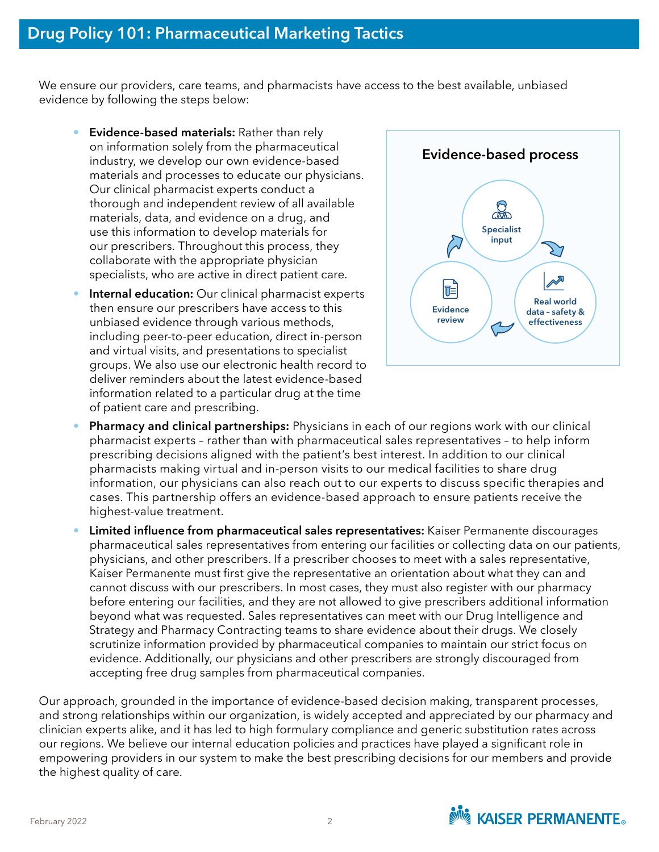We ensure our providers, care teams, and pharmacists have access to the best available, unbiased evidence by following the steps below:

- **Evidence-based materials:** Rather than rely on information solely from the pharmaceutical industry, we develop our own evidence-based materials and processes to educate our physicians. Our clinical pharmacist experts conduct a thorough and independent review of all available materials, data, and evidence on a drug, and use this information to develop materials for our prescribers. Throughout this process, they collaborate with the appropriate physician specialists, who are active in direct patient care.
- **Internal education:** Our clinical pharmacist experts then ensure our prescribers have access to this unbiased evidence through various methods, including peer-to-peer education, direct in-person and virtual visits, and presentations to specialist groups. We also use our electronic health record to deliver reminders about the latest evidence-based information related to a particular drug at the time of patient care and prescribing.



- **Pharmacy and clinical partnerships:** Physicians in each of our regions work with our clinical pharmacist experts – rather than with pharmaceutical sales representatives – to help inform prescribing decisions aligned with the patient's best interest. In addition to our clinical pharmacists making virtual and in-person visits to our medical facilities to share drug information, our physicians can also reach out to our experts to discuss specific therapies and cases. This partnership offers an evidence-based approach to ensure patients receive the highest-value treatment.
- **Limited influence from pharmaceutical sales representatives:** Kaiser Permanente discourages pharmaceutical sales representatives from entering our facilities or collecting data on our patients, physicians, and other prescribers. If a prescriber chooses to meet with a sales representative, Kaiser Permanente must first give the representative an orientation about what they can and cannot discuss with our prescribers. In most cases, they must also register with our pharmacy before entering our facilities, and they are not allowed to give prescribers additional information beyond what was requested. Sales representatives can meet with our Drug Intelligence and Strategy and Pharmacy Contracting teams to share evidence about their drugs. We closely scrutinize information provided by pharmaceutical companies to maintain our strict focus on evidence. Additionally, our physicians and other prescribers are strongly discouraged from accepting free drug samples from pharmaceutical companies.

Our approach, grounded in the importance of evidence-based decision making, transparent processes, and strong relationships within our organization, is widely accepted and appreciated by our pharmacy and clinician experts alike, and it has led to high formulary compliance and generic substitution rates across our regions. We believe our internal education policies and practices have played a significant role in empowering providers in our system to make the best prescribing decisions for our members and provide the highest quality of care.